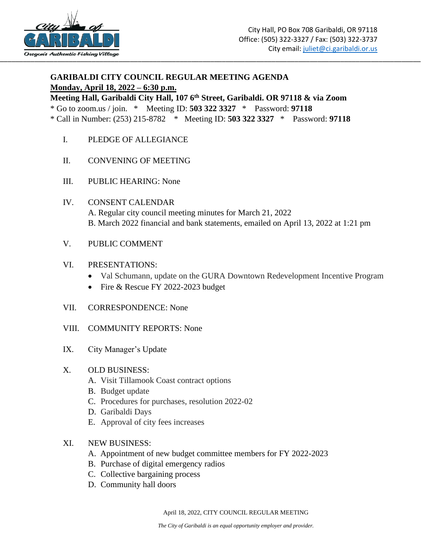

# **GARIBALDI CITY COUNCIL REGULAR MEETING AGENDA Monday, April 18, 2022 – 6:30 p.m.**

**Meeting Hall, Garibaldi City Hall, 107 6th Street, Garibaldi. OR 97118 & via Zoom**

\* Go to zoom.us / join. \* Meeting ID: **503 322 3327** \* Password: **97118**

\* Call in Number: (253) 215-8782 \* Meeting ID: **503 322 3327** \* Password: **97118**

- I. PLEDGE OF ALLEGIANCE
- II. CONVENING OF MEETING
- III. PUBLIC HEARING: None
- IV. CONSENT CALENDAR A. Regular city council meeting minutes for March 21, 2022 B. March 2022 financial and bank statements, emailed on April 13, 2022 at 1:21 pm
- V. PUBLIC COMMENT

### VI. PRESENTATIONS:

- Val Schumann, update on the GURA Downtown Redevelopment Incentive Program
- Fire & Rescue FY 2022-2023 budget
- VII. CORRESPONDENCE: None
- VIII. COMMUNITY REPORTS: None
- IX. City Manager's Update

### X. OLD BUSINESS:

- A. Visit Tillamook Coast contract options
- B. Budget update
- C. Procedures for purchases, resolution 2022-02
- D. Garibaldi Days
- E. Approval of city fees increases
- XI. NEW BUSINESS:
	- A. Appointment of new budget committee members for FY 2022-2023
	- B. Purchase of digital emergency radios
	- C. Collective bargaining process
	- D. Community hall doors